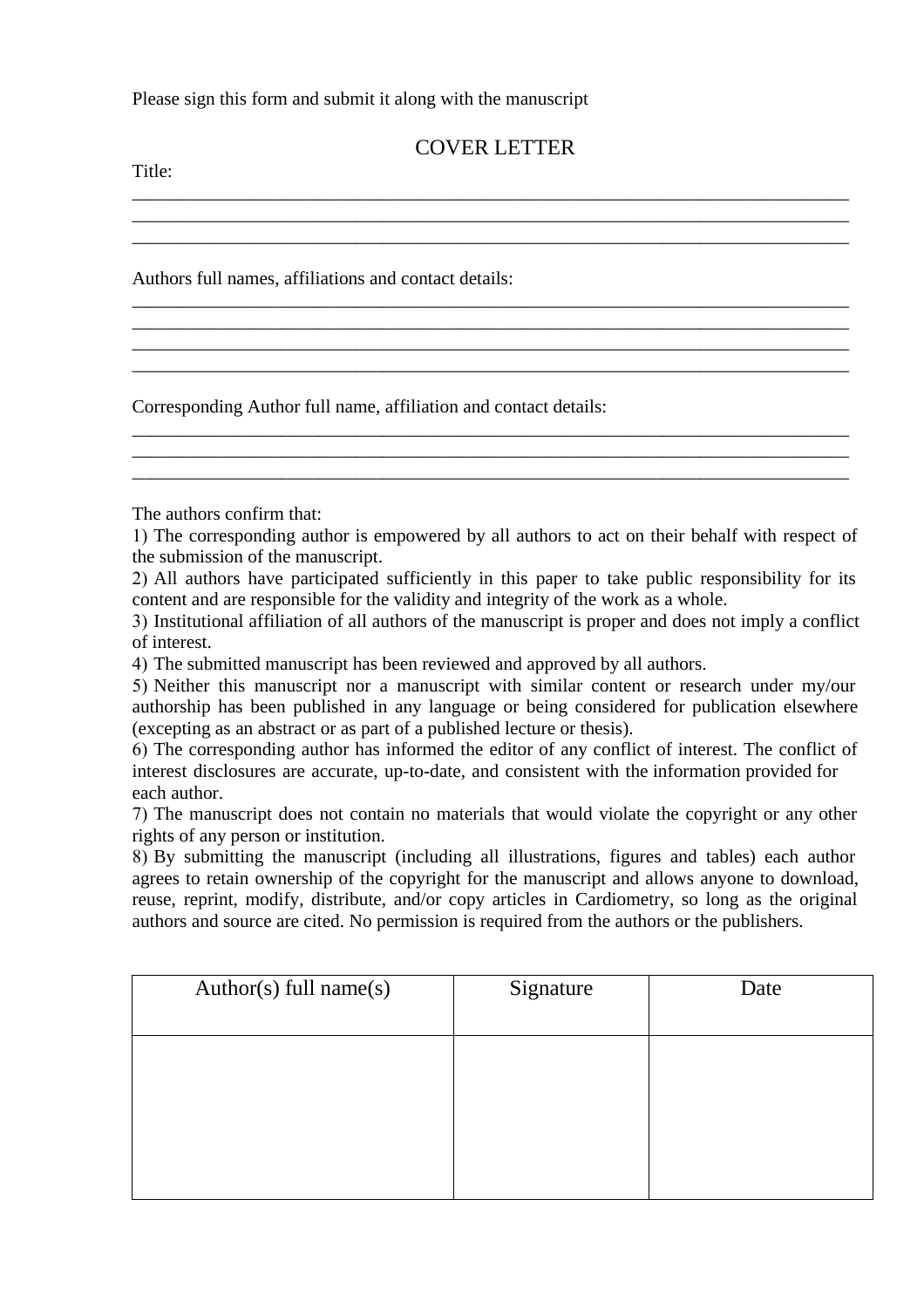Please sign this form and submit it along with the manuscript

## COVER LETTER

\_\_\_\_\_\_\_\_\_\_\_\_\_\_\_\_\_\_\_\_\_\_\_\_\_\_\_\_\_\_\_\_\_\_\_\_\_\_\_\_\_\_\_\_\_\_\_\_\_\_\_\_\_\_\_\_\_\_\_\_\_\_\_\_\_\_\_\_\_\_\_\_\_\_\_\_\_ \_\_\_\_\_\_\_\_\_\_\_\_\_\_\_\_\_\_\_\_\_\_\_\_\_\_\_\_\_\_\_\_\_\_\_\_\_\_\_\_\_\_\_\_\_\_\_\_\_\_\_\_\_\_\_\_\_\_\_\_\_\_\_\_\_\_\_\_\_\_\_\_\_\_\_\_\_ \_\_\_\_\_\_\_\_\_\_\_\_\_\_\_\_\_\_\_\_\_\_\_\_\_\_\_\_\_\_\_\_\_\_\_\_\_\_\_\_\_\_\_\_\_\_\_\_\_\_\_\_\_\_\_\_\_\_\_\_\_\_\_\_\_\_\_\_\_\_\_\_\_\_\_\_\_

\_\_\_\_\_\_\_\_\_\_\_\_\_\_\_\_\_\_\_\_\_\_\_\_\_\_\_\_\_\_\_\_\_\_\_\_\_\_\_\_\_\_\_\_\_\_\_\_\_\_\_\_\_\_\_\_\_\_\_\_\_\_\_\_\_\_\_\_\_\_\_\_\_\_\_\_\_

\_\_\_\_\_\_\_\_\_\_\_\_\_\_\_\_\_\_\_\_\_\_\_\_\_\_\_\_\_\_\_\_\_\_\_\_\_\_\_\_\_\_\_\_\_\_\_\_\_\_\_\_\_\_\_\_\_\_\_\_\_\_\_\_\_\_\_\_\_\_\_\_\_\_\_\_\_ \_\_\_\_\_\_\_\_\_\_\_\_\_\_\_\_\_\_\_\_\_\_\_\_\_\_\_\_\_\_\_\_\_\_\_\_\_\_\_\_\_\_\_\_\_\_\_\_\_\_\_\_\_\_\_\_\_\_\_\_\_\_\_\_\_\_\_\_\_\_\_\_\_\_\_\_\_

\_\_\_\_\_\_\_\_\_\_\_\_\_\_\_\_\_\_\_\_\_\_\_\_\_\_\_\_\_\_\_\_\_\_\_\_\_\_\_\_\_\_\_\_\_\_\_\_\_\_\_\_\_\_\_\_\_\_\_\_\_\_\_\_\_\_\_\_\_\_\_\_\_\_\_\_\_ \_\_\_\_\_\_\_\_\_\_\_\_\_\_\_\_\_\_\_\_\_\_\_\_\_\_\_\_\_\_\_\_\_\_\_\_\_\_\_\_\_\_\_\_\_\_\_\_\_\_\_\_\_\_\_\_\_\_\_\_\_\_\_\_\_\_\_\_\_\_\_\_\_\_\_\_\_ \_\_\_\_\_\_\_\_\_\_\_\_\_\_\_\_\_\_\_\_\_\_\_\_\_\_\_\_\_\_\_\_\_\_\_\_\_\_\_\_\_\_\_\_\_\_\_\_\_\_\_\_\_\_\_\_\_\_\_\_\_\_\_\_\_\_\_\_\_\_\_\_\_\_\_\_\_

Title:

Authors full names, affiliations and contact details:

Corresponding Author full name, affiliation and contact details:

The authors confirm that:

1) The corresponding author is empowered by all authors to act on their behalf with respect of the submission of the manuscript.

2) All authors have participated sufficiently in this paper to take public responsibility for its content and are responsible for the validity and integrity of the work as a whole.

3) Institutional affiliation of all authors of the manuscript is proper and does not imply a conflict of interest.

4) The submitted manuscript has been reviewed and approved by all authors.

5) Neither this manuscript nor a manuscript with similar content or research under my/our authorship has been published in any language or being considered for publication elsewhere (excepting as an abstract or as part of a published lecture or thesis).

6) The corresponding author has informed the editor of any conflict of interest. The conflict of interest disclosures are accurate, up-to-date, and consistent with the information provided for each author.

7) The manuscript does not contain no materials that would violate the copyright or any other rights of any person or institution.

8) By submitting the manuscript (including all illustrations, figures and tables) each author agrees to retain ownership of the copyright for the manuscript and allows anyone to download, reuse, reprint, modify, distribute, and/or copy articles in Cardiometry, so long as the original authors and source are cited. No permission is required from the authors or the publishers.

| Author(s) full name(s) | Signature | Date |
|------------------------|-----------|------|
|                        |           |      |
|                        |           |      |
|                        |           |      |
|                        |           |      |